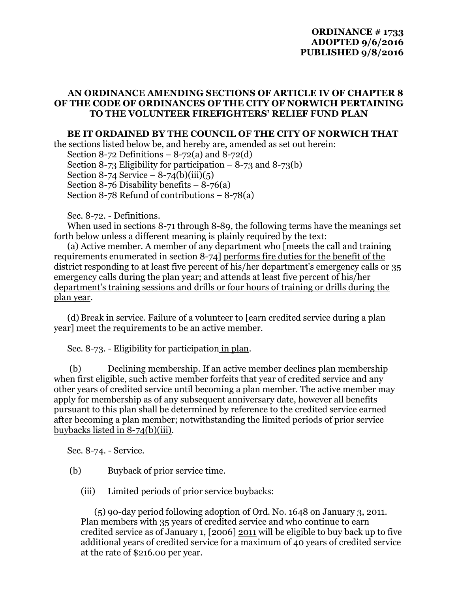## **AN ORDINANCE AMENDING SECTIONS OF ARTICLE IV OF CHAPTER 8 OF THE CODE OF ORDINANCES OF THE CITY OF NORWICH PERTAINING TO THE VOLUNTEER FIREFIGHTERS' RELIEF FUND PLAN**

## **BE IT ORDAINED BY THE COUNCIL OF THE CITY OF NORWICH THAT**

the sections listed below be, and hereby are, amended as set out herein: Section 8-72 Definitions  $-8-72(a)$  and  $8-72(d)$ Section 8-73 Eligibility for participation  $-8$ -73 and 8-73(b) Section 8-74 Service  $-8$ -74(b)(iii)(5) Section 8-76 Disability benefits  $-8-76$  (a) Section 8-78 Refund of contributions  $-8-78(a)$ 

Sec. 8-72. - Definitions.

When used in sections 8-71 through 8-89, the following terms have the meanings set forth below unless a different meaning is plainly required by the text:

(a) Active member. A member of any department who [meets the call and training requirements enumerated in section 8-74] performs fire duties for the benefit of the district responding to at least five percent of his/her department's emergency calls or 35 emergency calls during the plan year; and attends at least five percent of his/her department's training sessions and drills or four hours of training or drills during the plan year.

(d) Break in service. Failure of a volunteer to [earn credited service during a plan year] meet the requirements to be an active member.

Sec. 8-73. - Eligibility for participation in plan.

 (b) Declining membership. If an active member declines plan membership when first eligible, such active member forfeits that year of credited service and any other years of credited service until becoming a plan member. The active member may apply for membership as of any subsequent anniversary date, however all benefits pursuant to this plan shall be determined by reference to the credited service earned after becoming a plan member; notwithstanding the limited periods of prior service buybacks listed in 8-74(b)(iii).

Sec. 8-74. - Service.

- (b) Buyback of prior service time.
	- (iii) Limited periods of prior service buybacks:

(5) 90-day period following adoption of Ord. No. 1648 on January 3, 2011. Plan members with 35 years of credited service and who continue to earn credited service as of January 1, [2006] 2011 will be eligible to buy back up to five additional years of credited service for a maximum of 40 years of credited service at the rate of \$216.00 per year.